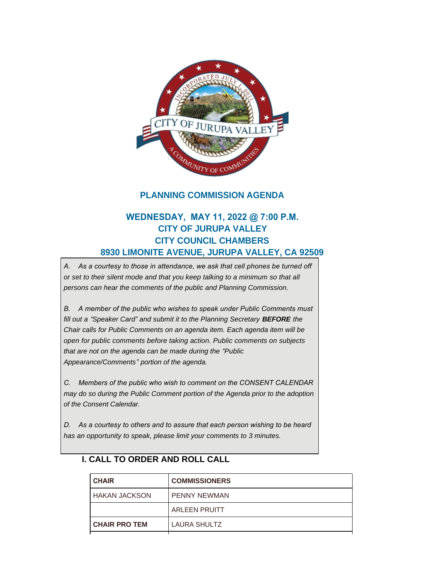

## **PLANNING COMMISSION AGENDA**

# **WEDNESDAY, MAY 11, 2022 @ 7:00 P.M. CITY OF JURUPA VALLEY CITY COUNCIL CHAMBERS 8930 LIMONITE AVENUE, JURUPA VALLEY, CA 92509**

*A. As a courtesy to those in attendance, we ask that cell phones be turned off or set to their silent mode and that you keep talking to a minimum so that all persons can hear the comments of the public and Planning Commission.*

*B. A member of the public who wishes to speak under Public Comments must fill out a "Speaker Card" and submit it to the Planning Secretary BEFORE the Chair calls for Public Comments on an agenda item. Each agenda item will be open for public comments before taking action. Public comments on subjects that are not on the agenda can be made during the "Public Appearance/Comments" portion of the agenda.*

*C. Members of the public who wish to comment on the CONSENT CALENDAR may do so during the Public Comment portion of the Agenda prior to the adoption of the Consent Calendar.*

*D. As a courtesy to others and to assure that each person wishing to be heard has an opportunity to speak, please limit your comments to 3 minutes.*

# **CHAIR COMMISSIONERS** HAKAN JACKSON PENNY NEWMAN ARLEEN PRUITT **CHAIR PRO TEM** LAURA SHULTZ

#### **I. CALL TO ORDER AND ROLL CALL**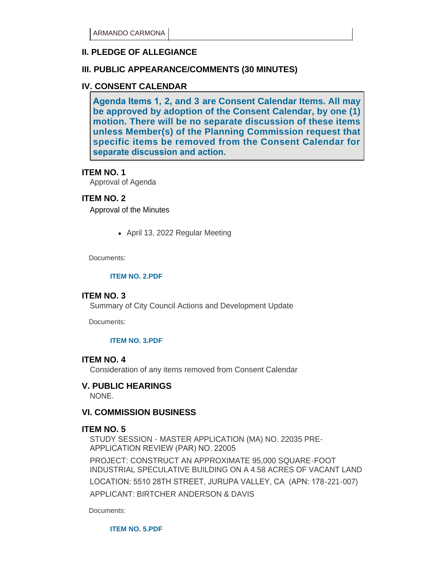## **II. PLEDGE OF ALLEGIANCE**

## **III. PUBLIC APPEARANCE/COMMENTS (30 MINUTES)**

#### **IV. CONSENT CALENDAR**

**Agenda Items 1, 2, and 3 are Consent Calendar Items. All may be approved by adoption of the Consent Calendar, by one (1) motion. There will be no separate discussion of these items unless Member(s) of the Planning Commission request that specific items be removed from the Consent Calendar for separate discussion and action.** 

#### **ITEM NO. 1**

Approval of Agenda

#### **ITEM NO. 2**

Approval of the Minutes

• April 13, 2022 Regular Meeting

Documents:

#### **[ITEM NO. 2.PDF](https://www.jurupavalley.org/AgendaCenter/ViewFile/Item/570?fileID=667)**

#### **ITEM NO. 3**

Summary of City Council Actions and Development Update

Documents:

#### **[ITEM NO. 3.PDF](https://www.jurupavalley.org/AgendaCenter/ViewFile/Item/571?fileID=668)**

#### **ITEM NO. 4**

Consideration of any items removed from Consent Calendar

#### **V. PUBLIC HEARINGS**

NONE.

#### **VI. COMMISSION BUSINESS**

#### **ITEM NO. 5**

STUDY SESSION - MASTER APPLICATION (MA) NO. 22035 PRE-APPLICATION REVIEW (PAR) NO. 22005

PROJECT: CONSTRUCT AN APPROXIMATE 95,000 SQUARE-FOOT INDUSTRIAL SPECULATIVE BUILDING ON A 4.58 ACRES OF VACANT LAND LOCATION: 5510 28TH STREET, JURUPA VALLEY, CA (APN: 178-221-007) APPLICANT: BIRTCHER ANDERSON & DAVIS

Documents:

**[ITEM NO. 5.PDF](https://www.jurupavalley.org/AgendaCenter/ViewFile/Item/575?fileID=669)**